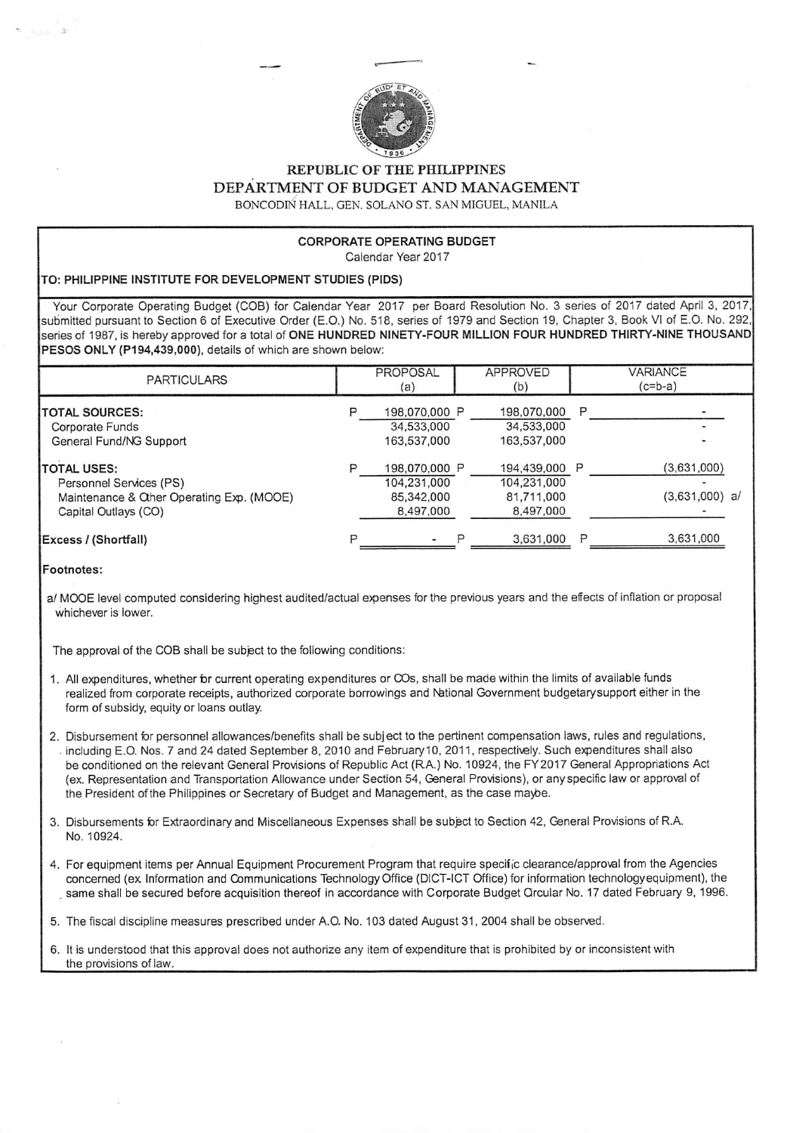

REPUBLIC OF THE PHILIPPINES DEPARTMENT OF BUDGET AND MANAGEMENT BONCODIN HALL, GEN. SOLANO ST. SAN MIGUEL, MANILA

## CORPORATE OPERATING BUDGET Calendar Year 2017

## TO: PHILIPPINE INSTITUTE FOR DEVELOPMENT STUDIES (PIDS)

Your Corporate Operating Budget (COB) for Calendar Year 2017 per Board Resolution No. 3 series of 2017 dated April 3, 2017, submitted pursuant to Section 6 of Executive Order (E.O.) No. 518, series of 1979 and Section 19, Chapter 3, Book VI of E.O. No. 292, series of 1987, is hereby approved for a total of ONE HUNDRED NINETY-FOUR MILLION FOUR HUNDRED THIRTY-NINE THOUSAND PESOS ONLY (P194,439,000), details of which are shown below:

| <b>PARTICULARS</b>                                                                                                  | PROPOSAL<br>(a)                                         |   | <b>APPROVED</b><br>(b)                                  |   | <b>VARIANCE</b><br>$(c=b-a)$    |
|---------------------------------------------------------------------------------------------------------------------|---------------------------------------------------------|---|---------------------------------------------------------|---|---------------------------------|
| <b>ITOTAL SOURCES:</b><br>Corporate Funds<br>General Fund/NG Support                                                | 198,070,000 P<br>34,533,000<br>163,537,000              |   | 198,070,000<br>34,533,000<br>163,537,000                | P |                                 |
| <b>ITOTAL USES:</b><br>Personnel Services (PS)<br>Maintenance & Other Operating Exp. (MOOE)<br>Capital Outlays (CO) | 198,070,000 P<br>104,231,000<br>85,342,000<br>8,497,000 |   | 194.439,000 P<br>104,231,000<br>81,711,000<br>8,497,000 |   | (3,631,000)<br>$(3,631,000)$ a/ |
| Excess / (Shortfall)                                                                                                | $\overline{\phantom{0}}$                                | р | 3,631,000                                               |   | 3,631,000                       |

## Footnotes:

a/ MOOE level computed considering highest audited/actual expenses for the previous years and the effects of inflation or proposal whichever is lower.

The approval of the COB shall be subject to the following conditions;

- 1. All expenditures, whether for current operating expenditures or COs, shall be made within the limits of available funds realized from corporate receipts, authorized corporate borrowings and National Government budgetarysupport either in the form of subsidy, equity or loans outlay.
- 2. Disbursement for personnel allowances/benefits shall be subject to the pertinent compensation laws, rules and regulations, . including E.O. Nos. 7 and 24 dated September 8, 2010 and February 10, 2011, respectively. Such expenditures shall also be conditioned on the relevant General Provisions of Republic Act (RA.) No. 10924, the FY2017 General Appropriations Act (ex. Representation and Transportation Allowance under Section 54, General Provisions), or any specific law or approval of the President ofthe Philippines or Secretary of Budget and Management, as the case maybe.
- 3. Disbursements for Extraordinary and Miscellaneous Expenses shall be subpct to Section 42, General Provisions of R.A. No. 10924.
- 4. For equipment items per Annual Equipment Procurement Program that require specific clearance/approval from the Agencies concerned (ex Information and Communications Technology Office (DICT-IGT Office) for information technologyequipment), the same shall be secured before acquisition thereof in accordance with Corporate Budget Orcular No. 17 dated February 9, 1996.
- 5. The fiscal discipline measures prescribed under A.O. No. 103 dated August 31, 2004 shall be observed.
- 6. It is understood that this approval does not authorize any item of expenditure that is prohibited by or inconsistent with the provisions of law.